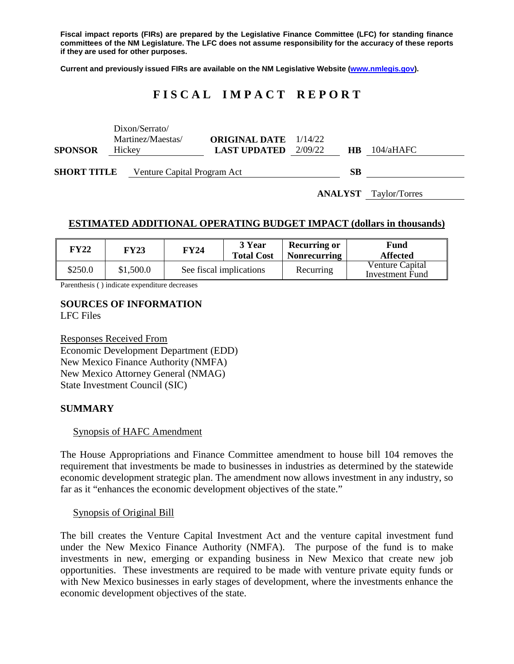**Fiscal impact reports (FIRs) are prepared by the Legislative Finance Committee (LFC) for standing finance committees of the NM Legislature. The LFC does not assume responsibility for the accuracy of these reports if they are used for other purposes.**

**Current and previously issued FIRs are available on the NM Legislative Website [\(www.nmlegis.gov\)](http://www.nmlegis.gov/).**

# **F I S C A L I M P A C T R E P O R T**

|                                                   | <b>ANALYST</b> Taylor/Torres |                                     |                                                     |         |           |           |  |  |
|---------------------------------------------------|------------------------------|-------------------------------------|-----------------------------------------------------|---------|-----------|-----------|--|--|
| <b>SHORT TITLE</b><br>Venture Capital Program Act |                              |                                     |                                                     |         | <b>SB</b> |           |  |  |
| <b>SPONSOR</b>                                    | Hickey                       | Dixon/Serrato/<br>Martinez/Maestas/ | <b>ORIGINAL DATE</b> 1/14/22<br><b>LAST UPDATED</b> | 2/09/22 | HB.       | 104/aHAFC |  |  |

## **ESTIMATED ADDITIONAL OPERATING BUDGET IMPACT (dollars in thousands)**

| FY22    | FY23      | FY24                    | 3 Year<br><b>Total Cost</b> | <b>Recurring or</b><br><b>Nonrecurring</b> | <b>Fund</b><br><b>Affected</b>     |
|---------|-----------|-------------------------|-----------------------------|--------------------------------------------|------------------------------------|
| \$250.0 | \$1,500.0 | See fiscal implications |                             | Recurring                                  | Venture Capital<br>Investment Fund |

Parenthesis ( ) indicate expenditure decreases

#### **SOURCES OF INFORMATION** LFC Files

Responses Received From Economic Development Department (EDD) New Mexico Finance Authority (NMFA) New Mexico Attorney General (NMAG) State Investment Council (SIC)

#### **SUMMARY**

#### Synopsis of HAFC Amendment

The House Appropriations and Finance Committee amendment to house bill 104 removes the requirement that investments be made to businesses in industries as determined by the statewide economic development strategic plan. The amendment now allows investment in any industry, so far as it "enhances the economic development objectives of the state."

#### Synopsis of Original Bill

The bill creates the Venture Capital Investment Act and the venture capital investment fund under the New Mexico Finance Authority (NMFA). The purpose of the fund is to make investments in new, emerging or expanding business in New Mexico that create new job opportunities. These investments are required to be made with venture private equity funds or with New Mexico businesses in early stages of development, where the investments enhance the economic development objectives of the state.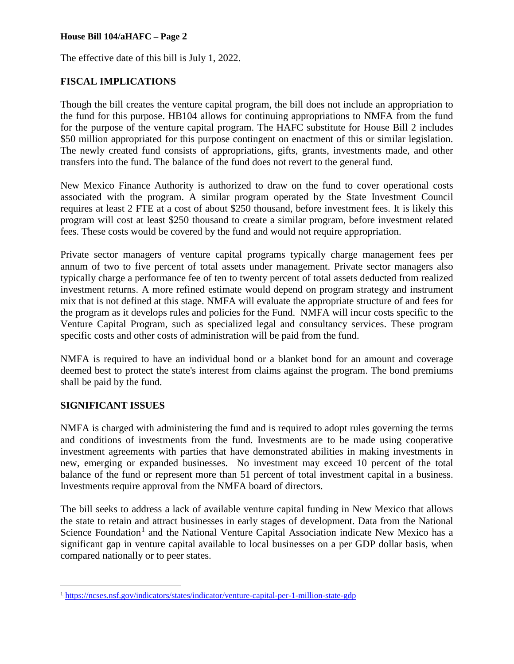The effective date of this bill is July 1, 2022.

## **FISCAL IMPLICATIONS**

Though the bill creates the venture capital program, the bill does not include an appropriation to the fund for this purpose. HB104 allows for continuing appropriations to NMFA from the fund for the purpose of the venture capital program. The HAFC substitute for House Bill 2 includes \$50 million appropriated for this purpose contingent on enactment of this or similar legislation. The newly created fund consists of appropriations, gifts, grants, investments made, and other transfers into the fund. The balance of the fund does not revert to the general fund.

New Mexico Finance Authority is authorized to draw on the fund to cover operational costs associated with the program. A similar program operated by the State Investment Council requires at least 2 FTE at a cost of about \$250 thousand, before investment fees. It is likely this program will cost at least \$250 thousand to create a similar program, before investment related fees. These costs would be covered by the fund and would not require appropriation.

Private sector managers of venture capital programs typically charge management fees per annum of two to five percent of total assets under management. Private sector managers also typically charge a performance fee of ten to twenty percent of total assets deducted from realized investment returns. A more refined estimate would depend on program strategy and instrument mix that is not defined at this stage. NMFA will evaluate the appropriate structure of and fees for the program as it develops rules and policies for the Fund. NMFA will incur costs specific to the Venture Capital Program, such as specialized legal and consultancy services. These program specific costs and other costs of administration will be paid from the fund.

NMFA is required to have an individual bond or a blanket bond for an amount and coverage deemed best to protect the state's interest from claims against the program. The bond premiums shall be paid by the fund.

#### **SIGNIFICANT ISSUES**

NMFA is charged with administering the fund and is required to adopt rules governing the terms and conditions of investments from the fund. Investments are to be made using cooperative investment agreements with parties that have demonstrated abilities in making investments in new, emerging or expanded businesses. No investment may exceed 10 percent of the total balance of the fund or represent more than 51 percent of total investment capital in a business. Investments require approval from the NMFA board of directors.

The bill seeks to address a lack of available venture capital funding in New Mexico that allows the state to retain and attract businesses in early stages of development. Data from the National Science Foundation<sup>[1](#page-1-0)</sup> and the National Venture Capital Association indicate New Mexico has a significant gap in venture capital available to local businesses on a per GDP dollar basis, when compared nationally or to peer states.

<span id="page-1-0"></span> <sup>1</sup> <https://ncses.nsf.gov/indicators/states/indicator/venture-capital-per-1-million-state-gdp>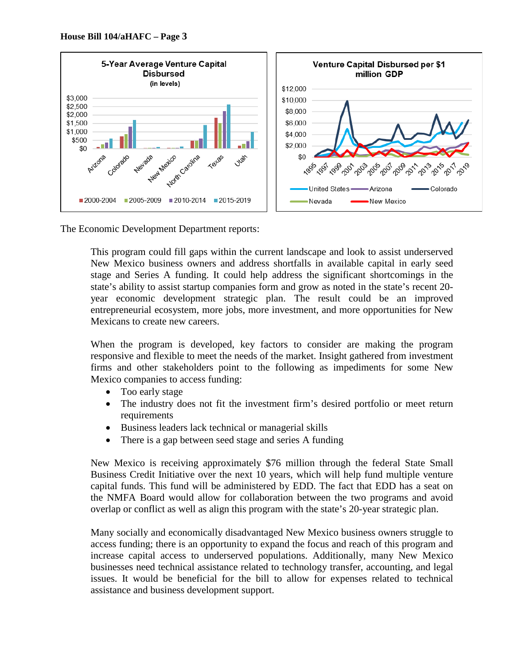

The Economic Development Department reports:

This program could fill gaps within the current landscape and look to assist underserved New Mexico business owners and address shortfalls in available capital in early seed stage and Series A funding. It could help address the significant shortcomings in the state's ability to assist startup companies form and grow as noted in the state's recent 20 year economic development strategic plan. The result could be an improved entrepreneurial ecosystem, more jobs, more investment, and more opportunities for New Mexicans to create new careers.

When the program is developed, key factors to consider are making the program responsive and flexible to meet the needs of the market. Insight gathered from investment firms and other stakeholders point to the following as impediments for some New Mexico companies to access funding:

- Too early stage
- The industry does not fit the investment firm's desired portfolio or meet return requirements
- Business leaders lack technical or managerial skills
- There is a gap between seed stage and series A funding

New Mexico is receiving approximately \$76 million through the federal State Small Business Credit Initiative over the next 10 years, which will help fund multiple venture capital funds. This fund will be administered by EDD. The fact that EDD has a seat on the NMFA Board would allow for collaboration between the two programs and avoid overlap or conflict as well as align this program with the state's 20-year strategic plan.

Many socially and economically disadvantaged New Mexico business owners struggle to access funding; there is an opportunity to expand the focus and reach of this program and increase capital access to underserved populations. Additionally, many New Mexico businesses need technical assistance related to technology transfer, accounting, and legal issues. It would be beneficial for the bill to allow for expenses related to technical assistance and business development support.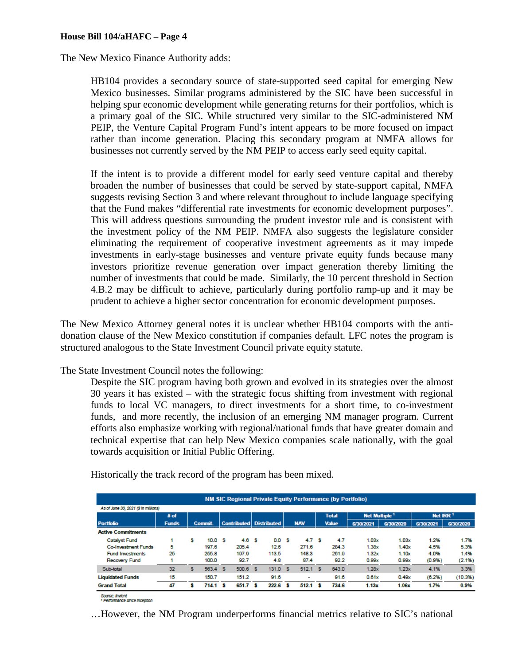The New Mexico Finance Authority adds:

HB104 provides a secondary source of state-supported seed capital for emerging New Mexico businesses. Similar programs administered by the SIC have been successful in helping spur economic development while generating returns for their portfolios, which is a primary goal of the SIC. While structured very similar to the SIC-administered NM PEIP, the Venture Capital Program Fund's intent appears to be more focused on impact rather than income generation. Placing this secondary program at NMFA allows for businesses not currently served by the NM PEIP to access early seed equity capital.

If the intent is to provide a different model for early seed venture capital and thereby broaden the number of businesses that could be served by state-support capital, NMFA suggests revising Section 3 and where relevant throughout to include language specifying that the Fund makes "differential rate investments for economic development purposes". This will address questions surrounding the prudent investor rule and is consistent with the investment policy of the NM PEIP. NMFA also suggests the legislature consider eliminating the requirement of cooperative investment agreements as it may impede investments in early-stage businesses and venture private equity funds because many investors prioritize revenue generation over impact generation thereby limiting the number of investments that could be made. Similarly, the 10 percent threshold in Section 4.B.2 may be difficult to achieve, particularly during portfolio ramp-up and it may be prudent to achieve a higher sector concentration for economic development purposes.

The New Mexico Attorney general notes it is unclear whether HB104 comports with the antidonation clause of the New Mexico constitution if companies default. LFC notes the program is structured analogous to the State Investment Council private equity statute.

The State Investment Council notes the following:

Despite the SIC program having both grown and evolved in its strategies over the almost 30 years it has existed – with the strategic focus shifting from investment with regional funds to local VC managers, to direct investments for a short time, to co-investment funds, and more recently, the inclusion of an emerging NM manager program. Current efforts also emphasize working with regional/national funds that have greater domain and technical expertise that can help New Mexico companies scale nationally, with the goal towards acquisition or Initial Public Offering.

|                                      |              |   |                |                           |                  |            |   | <b>NM SIC Regional Private Equity Performance (by Portfolio)</b> |                           |           |                      |           |
|--------------------------------------|--------------|---|----------------|---------------------------|------------------|------------|---|------------------------------------------------------------------|---------------------------|-----------|----------------------|-----------|
| As of June 30, 2021 (\$ In millions) |              |   |                |                           |                  |            |   |                                                                  |                           |           |                      |           |
|                                      | # of         |   |                |                           |                  |            |   | <b>Total</b>                                                     | Net Multiple <sup>1</sup> |           | Net IRR <sup>1</sup> |           |
| <b>Portfolio</b>                     | <b>Funds</b> |   | <b>Commit.</b> | Contributed   Distributed |                  | <b>NAV</b> |   | <b>Value</b>                                                     | 6/30/2021                 | 6/30/2020 | 6/30/2021            | 6/30/2020 |
| <b>Active Commitments</b>            |              |   |                |                           |                  |            |   |                                                                  |                           |           |                      |           |
| <b>Catalyst Fund</b>                 |              | s | 10.0 S         | 4.6 S                     | 0.0 <sup>5</sup> | 4.7        | s | 4.7                                                              | 1.03x                     | 1.03x     | 1.2%                 | 1.7%      |
| <b>Co-Investment Funds</b>           | 5            |   | 197.6          | 205.4                     | 12.6             | 271.6      |   | 284.3                                                            | 1.38x                     | 1.40x     | 4.5%                 | 5.3%      |
| <b>Fund Investments</b>              | 25           |   | 255.8          | 197.9                     | 113.5            | 148.3      |   | 261.9                                                            | 1.32x                     | 1.10x     | 4.0%                 | 1.4%      |
| <b>Recovery Fund</b>                 |              |   | 100.0          | 92.7                      | 4.8              | 87.4       |   | 92.2                                                             | 0.99x                     | 0.99x     | (0.9%)               | (2.1%)    |
| Sub-total                            | 32           | s | 563.4 \$       | $500.6$ \$                | 131.0 S          | 512.1 S    |   | 643.0                                                            | 1.28x                     | 1.23x     | 4.1%                 | 3.3%      |
| <b>Liquidated Funds</b>              | 15           |   | 150.7          | 151.2                     | 91.6             | ٠          |   | 91.6                                                             | 0.61x                     | 0.49x     | (6.2%)               | (10.3%)   |
| <b>Grand Total</b>                   | 47           | s | 714.1 S        | 651.7S                    | $222.6$ \$       | $512.1$ \$ |   | 734.6                                                            | 1.13x                     | 1.06x     | 1.7%                 | 0.9%      |

Historically the track record of the program has been mixed.

Source: Invient<br>† Performance since inception

…However, the NM Program underperforms financial metrics relative to SIC's national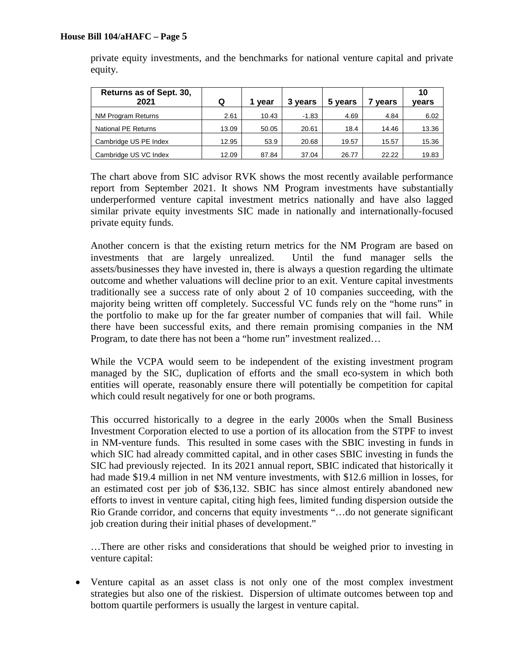| Returns as of Sept. 30,<br>2021 | Q     | vear  | 3 years | 5 years | vears | 10<br>vears |
|---------------------------------|-------|-------|---------|---------|-------|-------------|
| <b>NM Program Returns</b>       | 2.61  | 10.43 | $-1.83$ | 4.69    | 4.84  | 6.02        |
| National PE Returns             | 13.09 | 50.05 | 20.61   | 18.4    | 14.46 | 13.36       |
| Cambridge US PE Index           | 12.95 | 53.9  | 20.68   | 19.57   | 15.57 | 15.36       |
| Cambridge US VC Index           | 12.09 | 87.84 | 37.04   | 26.77   | 22.22 | 19.83       |

private equity investments, and the benchmarks for national venture capital and private equity.

The chart above from SIC advisor RVK shows the most recently available performance report from September 2021. It shows NM Program investments have substantially underperformed venture capital investment metrics nationally and have also lagged similar private equity investments SIC made in nationally and internationally-focused private equity funds.

Another concern is that the existing return metrics for the NM Program are based on investments that are largely unrealized. Until the fund manager sells the assets/businesses they have invested in, there is always a question regarding the ultimate outcome and whether valuations will decline prior to an exit. Venture capital investments traditionally see a success rate of only about 2 of 10 companies succeeding, with the majority being written off completely. Successful VC funds rely on the "home runs" in the portfolio to make up for the far greater number of companies that will fail. While there have been successful exits, and there remain promising companies in the NM Program, to date there has not been a "home run" investment realized…

While the VCPA would seem to be independent of the existing investment program managed by the SIC, duplication of efforts and the small eco-system in which both entities will operate, reasonably ensure there will potentially be competition for capital which could result negatively for one or both programs.

This occurred historically to a degree in the early 2000s when the Small Business Investment Corporation elected to use a portion of its allocation from the STPF to invest in NM-venture funds. This resulted in some cases with the SBIC investing in funds in which SIC had already committed capital, and in other cases SBIC investing in funds the SIC had previously rejected. In its 2021 annual report, SBIC indicated that historically it had made \$19.4 million in net NM venture investments, with \$12.6 million in losses, for an estimated cost per job of \$36,132. SBIC has since almost entirely abandoned new efforts to invest in venture capital, citing high fees, limited funding dispersion outside the Rio Grande corridor, and concerns that equity investments "…do not generate significant job creation during their initial phases of development."

…There are other risks and considerations that should be weighed prior to investing in venture capital:

• Venture capital as an asset class is not only one of the most complex investment strategies but also one of the riskiest. Dispersion of ultimate outcomes between top and bottom quartile performers is usually the largest in venture capital.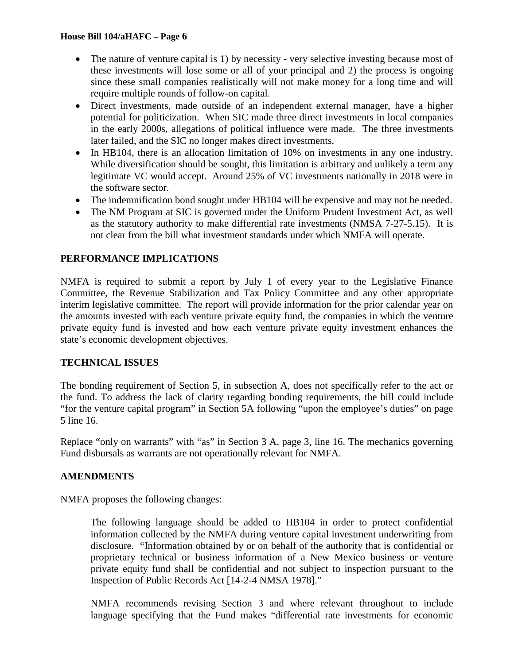- The nature of venture capital is 1) by necessity very selective investing because most of these investments will lose some or all of your principal and 2) the process is ongoing since these small companies realistically will not make money for a long time and will require multiple rounds of follow-on capital.
- Direct investments, made outside of an independent external manager, have a higher potential for politicization. When SIC made three direct investments in local companies in the early 2000s, allegations of political influence were made. The three investments later failed, and the SIC no longer makes direct investments.
- In HB104, there is an allocation limitation of 10% on investments in any one industry. While diversification should be sought, this limitation is arbitrary and unlikely a term any legitimate VC would accept. Around 25% of VC investments nationally in 2018 were in the software sector.
- The indemnification bond sought under HB104 will be expensive and may not be needed.
- The NM Program at SIC is governed under the Uniform Prudent Investment Act, as well as the statutory authority to make differential rate investments (NMSA 7-27-5.15). It is not clear from the bill what investment standards under which NMFA will operate.

# **PERFORMANCE IMPLICATIONS**

NMFA is required to submit a report by July 1 of every year to the Legislative Finance Committee, the Revenue Stabilization and Tax Policy Committee and any other appropriate interim legislative committee. The report will provide information for the prior calendar year on the amounts invested with each venture private equity fund, the companies in which the venture private equity fund is invested and how each venture private equity investment enhances the state's economic development objectives.

## **TECHNICAL ISSUES**

The bonding requirement of Section 5, in subsection A, does not specifically refer to the act or the fund. To address the lack of clarity regarding bonding requirements, the bill could include "for the venture capital program" in Section 5A following "upon the employee's duties" on page 5 line 16.

Replace "only on warrants" with "as" in Section 3 A, page 3, line 16. The mechanics governing Fund disbursals as warrants are not operationally relevant for NMFA.

#### **AMENDMENTS**

NMFA proposes the following changes:

The following language should be added to HB104 in order to protect confidential information collected by the NMFA during venture capital investment underwriting from disclosure. "Information obtained by or on behalf of the authority that is confidential or proprietary technical or business information of a New Mexico business or venture private equity fund shall be confidential and not subject to inspection pursuant to the Inspection of Public Records Act [14-2-4 NMSA 1978]."

NMFA recommends revising Section 3 and where relevant throughout to include language specifying that the Fund makes "differential rate investments for economic